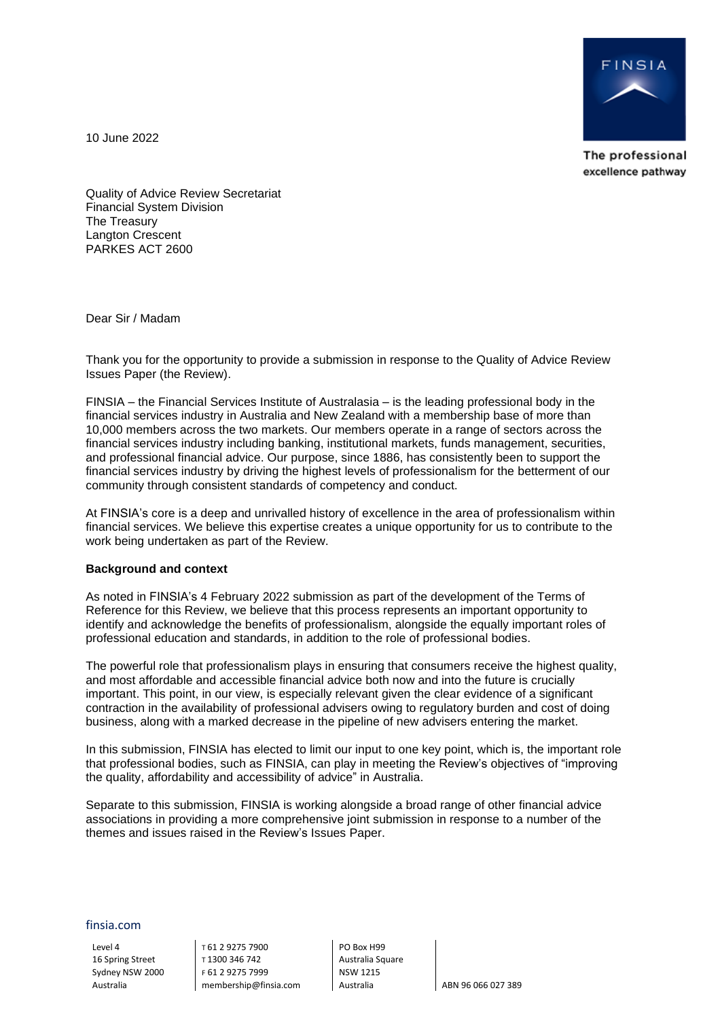

The professional excellence pathway

10 June 2022

Quality of Advice Review Secretariat Financial System Division The Treasury Langton Crescent PARKES ACT 2600

Dear Sir / Madam

Thank you for the opportunity to provide a submission in response to the Quality of Advice Review Issues Paper (the Review).

FINSIA – the Financial Services Institute of Australasia – is the leading professional body in the financial services industry in Australia and New Zealand with a membership base of more than 10,000 members across the two markets. Our members operate in a range of sectors across the financial services industry including banking, institutional markets, funds management, securities, and professional financial advice. Our purpose, since 1886, has consistently been to support the financial services industry by driving the highest levels of professionalism for the betterment of our community through consistent standards of competency and conduct.

At FINSIA's core is a deep and unrivalled history of excellence in the area of professionalism within financial services. We believe this expertise creates a unique opportunity for us to contribute to the work being undertaken as part of the Review.

## **Background and context**

As noted in FINSIA's 4 February 2022 submission as part of the development of the Terms of Reference for this Review, we believe that this process represents an important opportunity to identify and acknowledge the benefits of professionalism, alongside the equally important roles of professional education and standards, in addition to the role of professional bodies.

The powerful role that professionalism plays in ensuring that consumers receive the highest quality, and most affordable and accessible financial advice both now and into the future is crucially important. This point, in our view, is especially relevant given the clear evidence of a significant contraction in the availability of professional advisers owing to regulatory burden and cost of doing business, along with a marked decrease in the pipeline of new advisers entering the market.

In this submission, FINSIA has elected to limit our input to one key point, which is, the important role that professional bodies, such as FINSIA, can play in meeting the Review's objectives of "improving the quality, affordability and accessibility of advice" in Australia.

Separate to this submission, FINSIA is working alongside a broad range of other financial advice associations in providing a more comprehensive joint submission in response to a number of the themes and issues raised in the Review's Issues Paper.

finsia.com

Level 4 16 Spring Street Sydney NSW 2000 Australia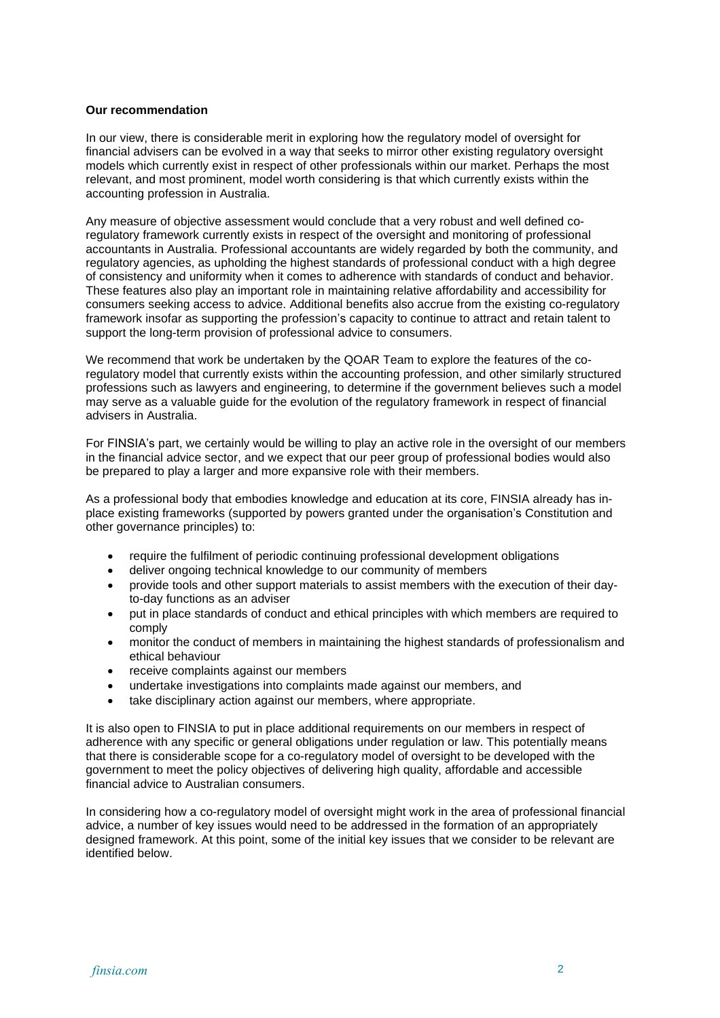## **Our recommendation**

In our view, there is considerable merit in exploring how the regulatory model of oversight for financial advisers can be evolved in a way that seeks to mirror other existing regulatory oversight models which currently exist in respect of other professionals within our market. Perhaps the most relevant, and most prominent, model worth considering is that which currently exists within the accounting profession in Australia.

Any measure of objective assessment would conclude that a very robust and well defined coregulatory framework currently exists in respect of the oversight and monitoring of professional accountants in Australia. Professional accountants are widely regarded by both the community, and regulatory agencies, as upholding the highest standards of professional conduct with a high degree of consistency and uniformity when it comes to adherence with standards of conduct and behavior. These features also play an important role in maintaining relative affordability and accessibility for consumers seeking access to advice. Additional benefits also accrue from the existing co-regulatory framework insofar as supporting the profession's capacity to continue to attract and retain talent to support the long-term provision of professional advice to consumers.

We recommend that work be undertaken by the QOAR Team to explore the features of the coregulatory model that currently exists within the accounting profession, and other similarly structured professions such as lawyers and engineering, to determine if the government believes such a model may serve as a valuable guide for the evolution of the regulatory framework in respect of financial advisers in Australia.

For FINSIA's part, we certainly would be willing to play an active role in the oversight of our members in the financial advice sector, and we expect that our peer group of professional bodies would also be prepared to play a larger and more expansive role with their members.

As a professional body that embodies knowledge and education at its core, FINSIA already has inplace existing frameworks (supported by powers granted under the organisation's Constitution and other governance principles) to:

- require the fulfilment of periodic continuing professional development obligations
- deliver ongoing technical knowledge to our community of members
- provide tools and other support materials to assist members with the execution of their dayto-day functions as an adviser
- put in place standards of conduct and ethical principles with which members are required to comply
- monitor the conduct of members in maintaining the highest standards of professionalism and ethical behaviour
- receive complaints against our members
- undertake investigations into complaints made against our members, and
- take disciplinary action against our members, where appropriate.

It is also open to FINSIA to put in place additional requirements on our members in respect of adherence with any specific or general obligations under regulation or law. This potentially means that there is considerable scope for a co-regulatory model of oversight to be developed with the government to meet the policy objectives of delivering high quality, affordable and accessible financial advice to Australian consumers.

In considering how a co-regulatory model of oversight might work in the area of professional financial advice, a number of key issues would need to be addressed in the formation of an appropriately designed framework. At this point, some of the initial key issues that we consider to be relevant are identified below.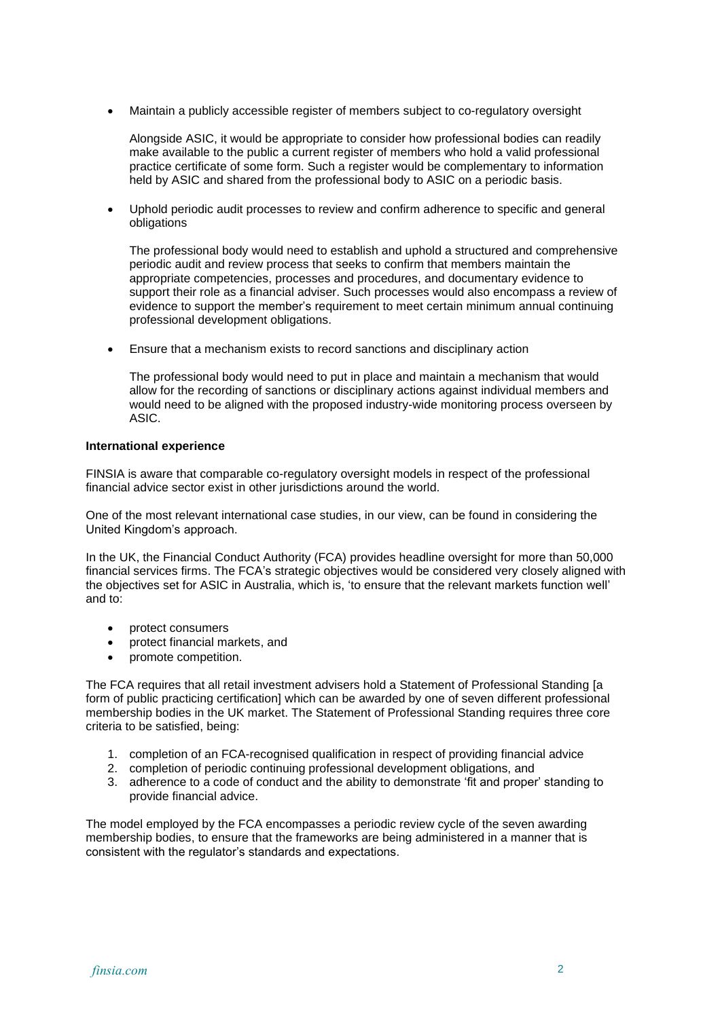• Maintain a publicly accessible register of members subject to co-regulatory oversight

Alongside ASIC, it would be appropriate to consider how professional bodies can readily make available to the public a current register of members who hold a valid professional practice certificate of some form. Such a register would be complementary to information held by ASIC and shared from the professional body to ASIC on a periodic basis.

• Uphold periodic audit processes to review and confirm adherence to specific and general obligations

The professional body would need to establish and uphold a structured and comprehensive periodic audit and review process that seeks to confirm that members maintain the appropriate competencies, processes and procedures, and documentary evidence to support their role as a financial adviser. Such processes would also encompass a review of evidence to support the member's requirement to meet certain minimum annual continuing professional development obligations.

• Ensure that a mechanism exists to record sanctions and disciplinary action

The professional body would need to put in place and maintain a mechanism that would allow for the recording of sanctions or disciplinary actions against individual members and would need to be aligned with the proposed industry-wide monitoring process overseen by ASIC.

## **International experience**

FINSIA is aware that comparable co-regulatory oversight models in respect of the professional financial advice sector exist in other jurisdictions around the world.

One of the most relevant international case studies, in our view, can be found in considering the United Kingdom's approach.

In the UK, the Financial Conduct Authority (FCA) provides headline oversight for more than 50,000 financial services firms. The FCA's strategic objectives would be considered very closely aligned with the objectives set for ASIC in Australia, which is, 'to ensure that the relevant markets function well' and to:

- protect consumers
- protect financial markets, and
- promote competition.

The FCA requires that all retail investment advisers hold a Statement of Professional Standing [a form of public practicing certification] which can be awarded by one of seven different professional membership bodies in the UK market. The Statement of Professional Standing requires three core criteria to be satisfied, being:

- 1. completion of an FCA-recognised qualification in respect of providing financial advice
- 2. completion of periodic continuing professional development obligations, and
- 3. adherence to a code of conduct and the ability to demonstrate 'fit and proper' standing to provide financial advice.

The model employed by the FCA encompasses a periodic review cycle of the seven awarding membership bodies, to ensure that the frameworks are being administered in a manner that is consistent with the regulator's standards and expectations.